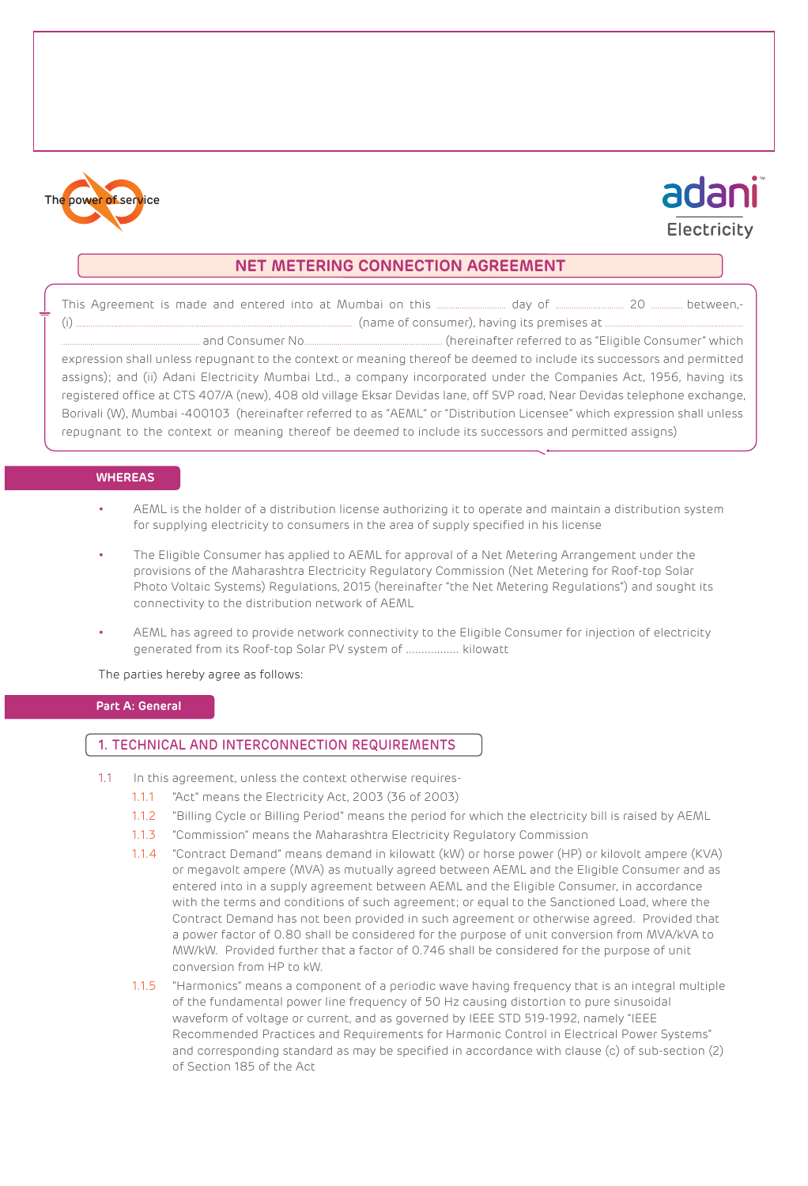

# adani Electricity

## **NET METERING CONNECTION AGREEMENT**

This Agreement is made and entered into at Mumbai on this ................................. day of ................................. 20 ............... between,- (i) .................................................................................................................................... (name of consumer), having its premises at .................................................................. .................................................................. and Consumer No.................................................................. (hereinafter referred to as "Eligible Consumer" which expression shall unless repugnant to the context or meaning thereof be deemed to include its successors and permitted assigns); and (ii) Adani Electricity Mumbai Ltd., a company incorporated under the Companies Act, 1956, having its registered office at CTS 407/A (new), 408 old village Eksar Devidas lane, off SVP road, Near Devidas telephone exchange, Borivali (W), Mumbai -400103 (hereinafter referred to as "AEML" or "Distribution Licensee" which expression shall unless repugnant to the context or meaning thereof be deemed to include its successors and permitted assigns)

#### **WHEREAS**

- AEML is the holder of a distribution license authorizing it to operate and maintain a distribution system for supplying electricity to consumers in the area of supply specified in his license
- The Eligible Consumer has applied to AEML for approval of a Net Metering Arrangement under the provisions of the Maharashtra Electricity Regulatory Commission (Net Metering for Roof-top Solar Photo Voltaic Systems) Regulations, 2015 (hereinafter "the Net Metering Regulations") and sought its connectivity to the distribution network of AEML
- AEML has agreed to provide network connectivity to the Eligible Consumer for injection of electricity generated from its Roof-top Solar PV system of ................. kilowatt

The parties hereby agree as follows:

#### **Part A: General**

#### 1. TECHNICAL AND INTERCONNECTION REQUIREMENTS

- 1.1 In this agreement, unless the context otherwise requires-
	- 1.1.1 "Act" means the Electricity Act, 2003 (36 of 2003)
	- 1.1.2 "Billing Cycle or Billing Period" means the period for which the electricity bill is raised by AEML
	- 1.1.3 "Commission" means the Maharashtra Electricity Regulatory Commission
	- 1.1.4 "Contract Demand" means demand in kilowatt (kW) or horse power (HP) or kilovolt ampere (KVA) or megavolt ampere (MVA) as mutually agreed between AEML and the Eligible Consumer and as entered into in a supply agreement between AEML and the Eligible Consumer, in accordance with the terms and conditions of such agreement; or equal to the Sanctioned Load, where the Contract Demand has not been provided in such agreement or otherwise agreed. Provided that a power factor of 0.80 shall be considered for the purpose of unit conversion from MVA/kVA to MW/kW. Provided further that a factor of 0.746 shall be considered for the purpose of unit conversion from HP to kW.
	- 1.1.5 "Harmonics" means a component of a periodic wave having frequency that is an integral multiple of the fundamental power line frequency of 50 Hz causing distortion to pure sinusoidal waveform of voltage or current, and as governed by IEEE STD 519-1992, namely "IEEE Recommended Practices and Requirements for Harmonic Control in Electrical Power Systems" and corresponding standard as may be specified in accordance with clause (c) of sub-section (2) of Section 185 of the Act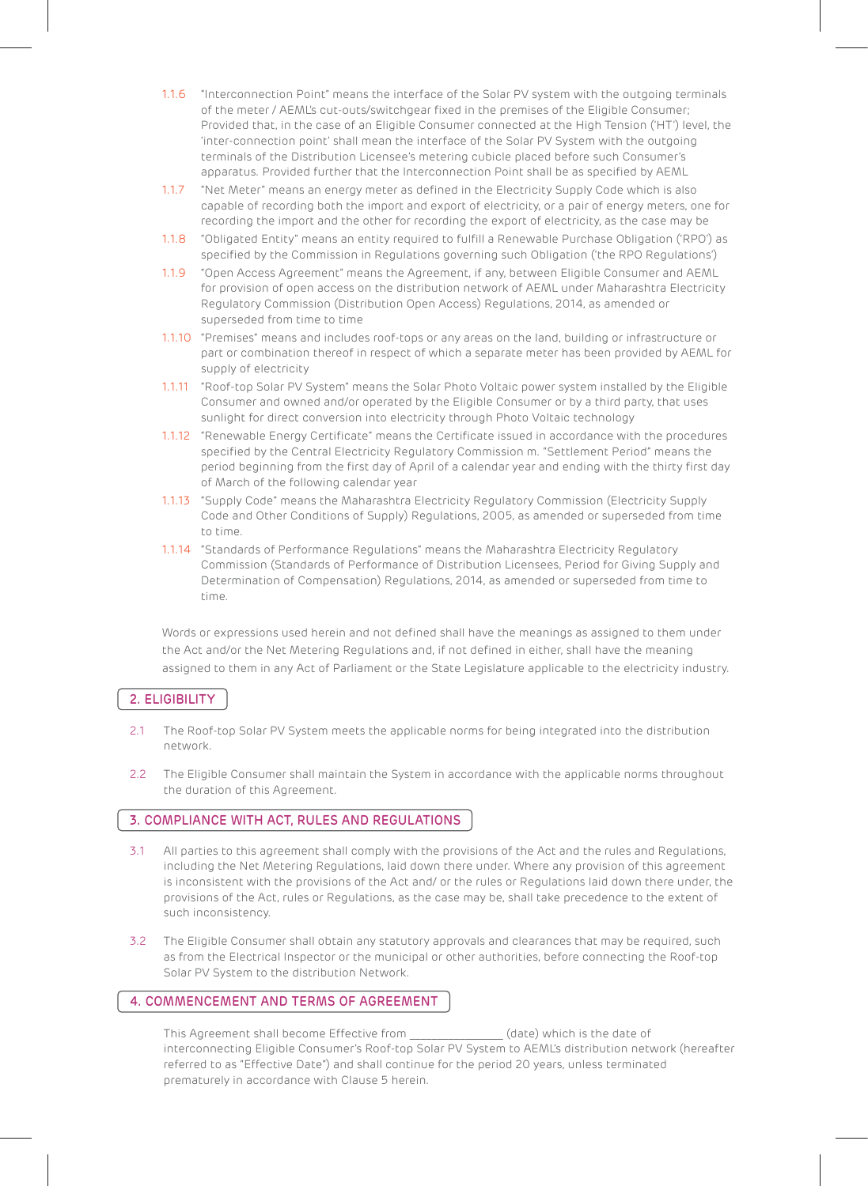- 1.1.6 "Interconnection Point" means the interface of the Solar PV system with the outgoing terminals of the meter / AEML's cut-outs/switchgear fixed in the premises of the Eligible Consumer; Provided that, in the case of an Eligible Consumer connected at the High Tension ('HT') level, the 'inter-connection point' shall mean the interface of the Solar PV System with the outgoing terminals of the Distribution Licensee's metering cubicle placed before such Consumer's apparatus. Provided further that the Interconnection Point shall be as specified by AEML
- 1.1.7 "Net Meter" means an energy meter as defined in the Electricity Supply Code which is also capable of recording both the import and export of electricity, or a pair of energy meters, one for recording the import and the other for recording the export of electricity, as the case may be
- 1.1.8 "Obligated Entity" means an entity required to fulfill a Renewable Purchase Obligation ('RPO') as specified by the Commission in Regulations governing such Obligation ('the RPO Regulations')
- 1.1.9 "Open Access Agreement" means the Agreement, if any, between Eligible Consumer and AEML for provision of open access on the distribution network of AEML under Maharashtra Electricity Regulatory Commission (Distribution Open Access) Regulations, 2014, as amended or superseded from time to time
- 1.1.10 "Premises" means and includes roof-tops or any areas on the land, building or infrastructure or part or combination thereof in respect of which a separate meter has been provided by AEML for supply of electricity
- 1.1.11 "Roof-top Solar PV System" means the Solar Photo Voltaic power system installed by the Eligible Consumer and owned and/or operated by the Eligible Consumer or by a third party, that uses sunlight for direct conversion into electricity through Photo Voltaic technology
- 1.1.12 "Renewable Energy Certificate" means the Certificate issued in accordance with the procedures specified by the Central Electricity Regulatory Commission m. "Settlement Period" means the period beginning from the first day of April of a calendar year and ending with the thirty first day of March of the following calendar year
- 1.1.13 "Supply Code" means the Maharashtra Electricity Regulatory Commission (Electricity Supply Code and Other Conditions of Supply) Regulations, 2005, as amended or superseded from time to time.
- 1.1.14 "Standards of Performance Regulations" means the Maharashtra Electricity Regulatory Commission (Standards of Performance of Distribution Licensees, Period for Giving Supply and Determination of Compensation) Regulations, 2014, as amended or superseded from time to time.

Words or expressions used herein and not defined shall have the meanings as assigned to them under the Act and/or the Net Metering Regulations and, if not defined in either, shall have the meaning assigned to them in any Act of Parliament or the State Legislature applicable to the electricity industry.

# 2. ELIGIBILITY

- 2.1 The Roof-top Solar PV System meets the applicable norms for being integrated into the distribution network.
- 2.2 The Eligible Consumer shall maintain the System in accordance with the applicable norms throughout the duration of this Agreement.

# 3. COMPLIANCE WITH ACT, RULES AND REGULATIONS

- 3.1 All parties to this agreement shall comply with the provisions of the Act and the rules and Regulations, including the Net Metering Regulations, laid down there under. Where any provision of this agreement is inconsistent with the provisions of the Act and/ or the rules or Regulations laid down there under, the provisions of the Act, rules or Regulations, as the case may be, shall take precedence to the extent of such inconsistency.
- 3.2 The Eligible Consumer shall obtain any statutory approvals and clearances that may be required, such as from the Electrical Inspector or the municipal or other authorities, before connecting the Roof-top Solar PV System to the distribution Network.

## 4. COMMENCEMENT AND TERMS OF AGREEMENT

This Agreement shall become Effective from (date) which is the date of interconnecting Eligible Consumer's Roof-top Solar PV System to AEML's distribution network (hereafter referred to as "Effective Date") and shall continue for the period 20 years, unless terminated prematurely in accordance with Clause 5 herein.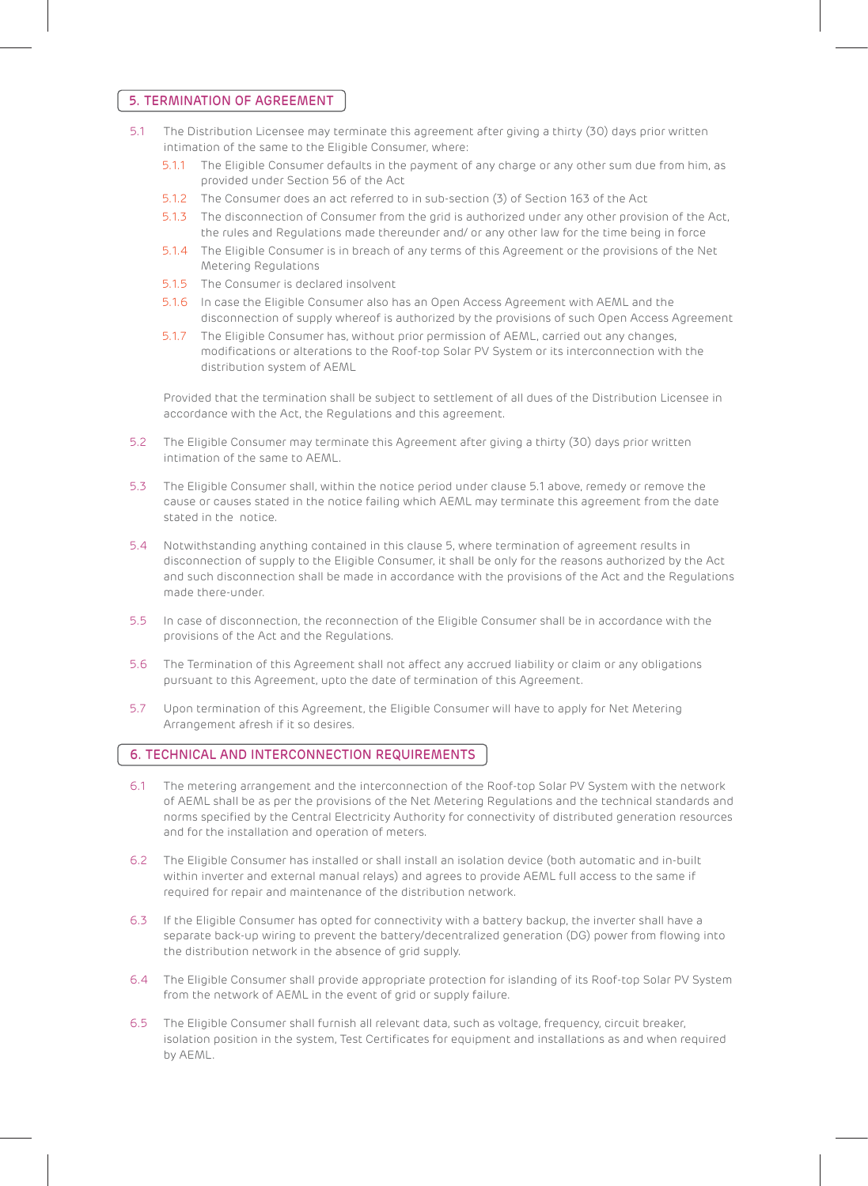#### 5. TERMINATION OF AGREEMENT

- 5.1 The Distribution Licensee may terminate this agreement after giving a thirty (30) days prior written intimation of the same to the Eligible Consumer, where:
	- 5.1.1 The Eligible Consumer defaults in the payment of any charge or any other sum due from him, as provided under Section 56 of the Act
	- 5.1.2 The Consumer does an act referred to in sub-section (3) of Section 163 of the Act
	- 5.1.3 The disconnection of Consumer from the grid is authorized under any other provision of the Act, the rules and Regulations made thereunder and/ or any other law for the time being in force
	- 5.1.4 The Eligible Consumer is in breach of any terms of this Agreement or the provisions of the Net Metering Regulations
	- 5.1.5 The Consumer is declared insolvent
	- 5.1.6 In case the Eligible Consumer also has an Open Access Agreement with AEML and the disconnection of supply whereof is authorized by the provisions of such Open Access Agreement
	- 5.1.7 The Eligible Consumer has, without prior permission of AEML, carried out any changes, modifications or alterations to the Roof-top Solar PV System or its interconnection with the distribution system of AEML

Provided that the termination shall be subject to settlement of all dues of the Distribution Licensee in accordance with the Act, the Regulations and this agreement.

- 5.2 The Eligible Consumer may terminate this Agreement after giving a thirty (30) days prior written intimation of the same to AEML.
- 5.3 The Eligible Consumer shall, within the notice period under clause 5.1 above, remedy or remove the cause or causes stated in the notice failing which AEML may terminate this agreement from the date stated in the notice.
- 5.4 Notwithstanding anything contained in this clause 5, where termination of agreement results in disconnection of supply to the Eligible Consumer, it shall be only for the reasons authorized by the Act and such disconnection shall be made in accordance with the provisions of the Act and the Regulations made there-under.
- 5.5 In case of disconnection, the reconnection of the Eligible Consumer shall be in accordance with the provisions of the Act and the Regulations.
- 5.6 The Termination of this Agreement shall not affect any accrued liability or claim or any obligations pursuant to this Agreement, upto the date of termination of this Agreement.
- 5.7 Upon termination of this Agreement, the Eligible Consumer will have to apply for Net Metering Arrangement afresh if it so desires.

## 6. TECHNICAL AND INTERCONNECTION REQUIREMENTS

- 6.1 The metering arrangement and the interconnection of the Roof-top Solar PV System with the network of AEML shall be as per the provisions of the Net Metering Regulations and the technical standards and norms specified by the Central Electricity Authority for connectivity of distributed generation resources and for the installation and operation of meters.
- 6.2 The Eligible Consumer has installed or shall install an isolation device (both automatic and in-built within inverter and external manual relays) and agrees to provide AEML full access to the same if required for repair and maintenance of the distribution network.
- 6.3 If the Eligible Consumer has opted for connectivity with a battery backup, the inverter shall have a separate back-up wiring to prevent the battery/decentralized generation (DG) power from flowing into the distribution network in the absence of grid supply.
- 6.4 The Eligible Consumer shall provide appropriate protection for islanding of its Roof-top Solar PV System from the network of AEML in the event of grid or supply failure.
- 6.5 The Eligible Consumer shall furnish all relevant data, such as voltage, frequency, circuit breaker, isolation position in the system, Test Certificates for equipment and installations as and when required by AEML.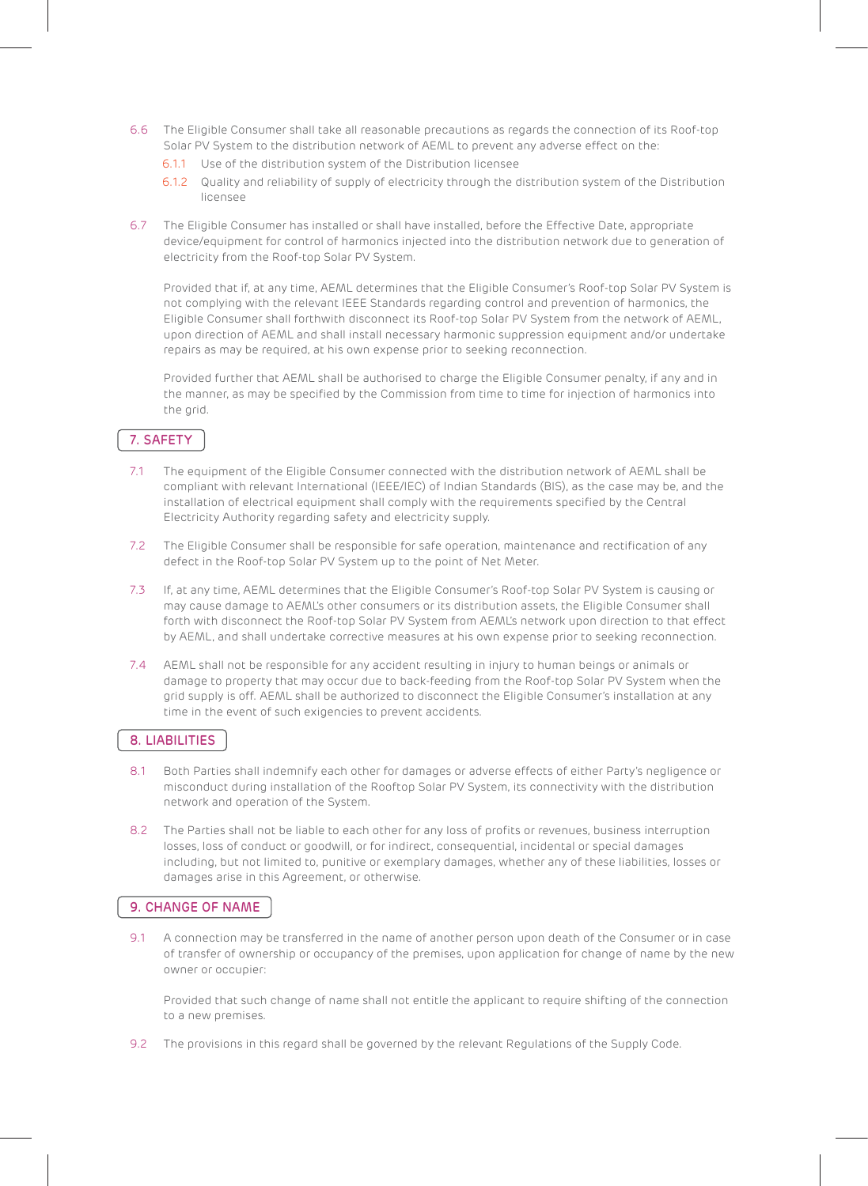- 6.6 The Eligible Consumer shall take all reasonable precautions as regards the connection of its Roof-top Solar PV System to the distribution network of AEML to prevent any adverse effect on the:
	- 6.1.1 Use of the distribution system of the Distribution licensee
	- 6.1.2 Quality and reliability of supply of electricity through the distribution system of the Distribution licensee
- 6.7 The Eligible Consumer has installed or shall have installed, before the Effective Date, appropriate device/equipment for control of harmonics injected into the distribution network due to generation of electricity from the Roof-top Solar PV System.

Provided that if, at any time, AEML determines that the Eligible Consumer's Roof-top Solar PV System is not complying with the relevant IEEE Standards regarding control and prevention of harmonics, the Eligible Consumer shall forthwith disconnect its Roof-top Solar PV System from the network of AEML, upon direction of AEML and shall install necessary harmonic suppression equipment and/or undertake repairs as may be required, at his own expense prior to seeking reconnection.

 Provided further that AEML shall be authorised to charge the Eligible Consumer penalty, if any and in the manner, as may be specified by the Commission from time to time for injection of harmonics into the grid.

## 7. SAFETY

- 7.1 The equipment of the Eligible Consumer connected with the distribution network of AEML shall be compliant with relevant International (IEEE/IEC) of Indian Standards (BIS), as the case may be, and the installation of electrical equipment shall comply with the requirements specified by the Central Electricity Authority regarding safety and electricity supply.
- 7.2 The Eligible Consumer shall be responsible for safe operation, maintenance and rectification of any defect in the Roof-top Solar PV System up to the point of Net Meter.
- 7.3 If, at any time, AEML determines that the Eligible Consumer's Roof-top Solar PV System is causing or may cause damage to AEML's other consumers or its distribution assets, the Eligible Consumer shall forth with disconnect the Roof-top Solar PV System from AEML's network upon direction to that effect by AEML, and shall undertake corrective measures at his own expense prior to seeking reconnection.
- 7.4 AEML shall not be responsible for any accident resulting in injury to human beings or animals or damage to property that may occur due to back-feeding from the Roof-top Solar PV System when the grid supply is off. AEML shall be authorized to disconnect the Eligible Consumer's installation at any time in the event of such exigencies to prevent accidents.

## 8. LIABILITIES

- 8.1 Both Parties shall indemnify each other for damages or adverse effects of either Party's negligence or misconduct during installation of the Rooftop Solar PV System, its connectivity with the distribution network and operation of the System.
- 8.2 The Parties shall not be liable to each other for any loss of profits or revenues, business interruption losses, loss of conduct or goodwill, or for indirect, consequential, incidental or special damages including, but not limited to, punitive or exemplary damages, whether any of these liabilities, losses or damages arise in this Agreement, or otherwise.

## 9. CHANGE OF NAME

9.1 A connection may be transferred in the name of another person upon death of the Consumer or in case of transfer of ownership or occupancy of the premises, upon application for change of name by the new owner or occupier:

Provided that such change of name shall not entitle the applicant to require shifting of the connection to a new premises.

9.2 The provisions in this regard shall be governed by the relevant Regulations of the Supply Code.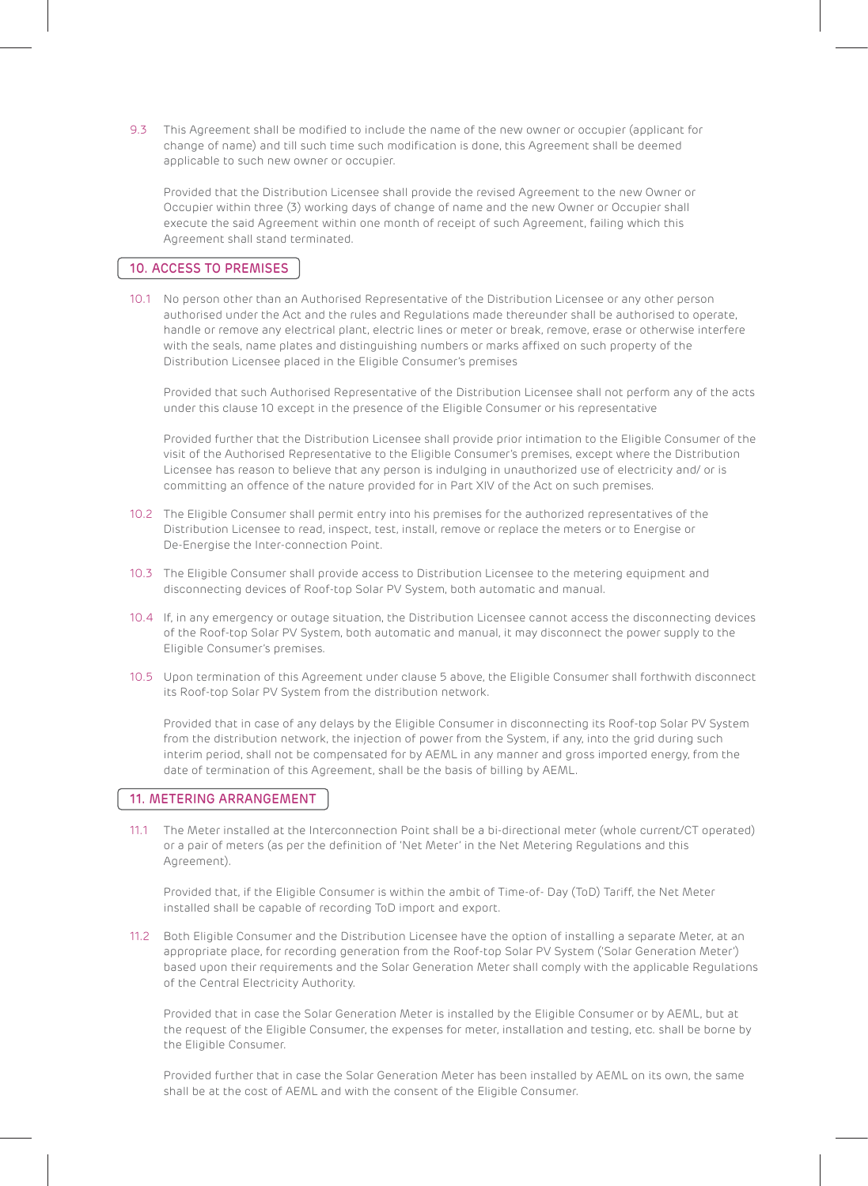9.3 This Agreement shall be modified to include the name of the new owner or occupier (applicant for change of name) and till such time such modification is done, this Agreement shall be deemed applicable to such new owner or occupier.

Provided that the Distribution Licensee shall provide the revised Agreement to the new Owner or Occupier within three (3) working days of change of name and the new Owner or Occupier shall execute the said Agreement within one month of receipt of such Agreement, failing which this Agreement shall stand terminated.

## 10. ACCESS TO PREMISES

10.1 No person other than an Authorised Representative of the Distribution Licensee or any other person authorised under the Act and the rules and Regulations made thereunder shall be authorised to operate, handle or remove any electrical plant, electric lines or meter or break, remove, erase or otherwise interfere with the seals, name plates and distinguishing numbers or marks affixed on such property of the Distribution Licensee placed in the Eligible Consumer's premises

Provided that such Authorised Representative of the Distribution Licensee shall not perform any of the acts under this clause 10 except in the presence of the Eligible Consumer or his representative

Provided further that the Distribution Licensee shall provide prior intimation to the Eligible Consumer of the visit of the Authorised Representative to the Eligible Consumer's premises, except where the Distribution Licensee has reason to believe that any person is indulging in unauthorized use of electricity and/ or is committing an offence of the nature provided for in Part XIV of the Act on such premises.

- 10.2 The Eligible Consumer shall permit entry into his premises for the authorized representatives of the Distribution Licensee to read, inspect, test, install, remove or replace the meters or to Energise or De-Energise the Inter-connection Point.
- 10.3 The Eligible Consumer shall provide access to Distribution Licensee to the metering equipment and disconnecting devices of Roof-top Solar PV System, both automatic and manual.
- 10.4 If, in any emergency or outage situation, the Distribution Licensee cannot access the disconnecting devices of the Roof-top Solar PV System, both automatic and manual, it may disconnect the power supply to the Eligible Consumer's premises.
- 10.5 Upon termination of this Agreement under clause 5 above, the Eligible Consumer shall forthwith disconnect its Roof-top Solar PV System from the distribution network.

Provided that in case of any delays by the Eligible Consumer in disconnecting its Roof-top Solar PV System from the distribution network, the injection of power from the System, if any, into the grid during such interim period, shall not be compensated for by AEML in any manner and gross imported energy, from the date of termination of this Agreement, shall be the basis of billing by AEML.

#### 11. METERING ARRANGEMENT

11.1 The Meter installed at the Interconnection Point shall be a bi-directional meter (whole current/CT operated) or a pair of meters (as per the definition of 'Net Meter' in the Net Metering Regulations and this Agreement).

Provided that, if the Eligible Consumer is within the ambit of Time-of- Day (ToD) Tariff, the Net Meter installed shall be capable of recording ToD import and export.

11.2 Both Eligible Consumer and the Distribution Licensee have the option of installing a separate Meter, at an appropriate place, for recording generation from the Roof-top Solar PV System ('Solar Generation Meter') based upon their requirements and the Solar Generation Meter shall comply with the applicable Regulations of the Central Electricity Authority.

Provided that in case the Solar Generation Meter is installed by the Eligible Consumer or by AEML, but at the request of the Eligible Consumer, the expenses for meter, installation and testing, etc. shall be borne by the Eligible Consumer.

Provided further that in case the Solar Generation Meter has been installed by AEML on its own, the same shall be at the cost of AEML and with the consent of the Eligible Consumer.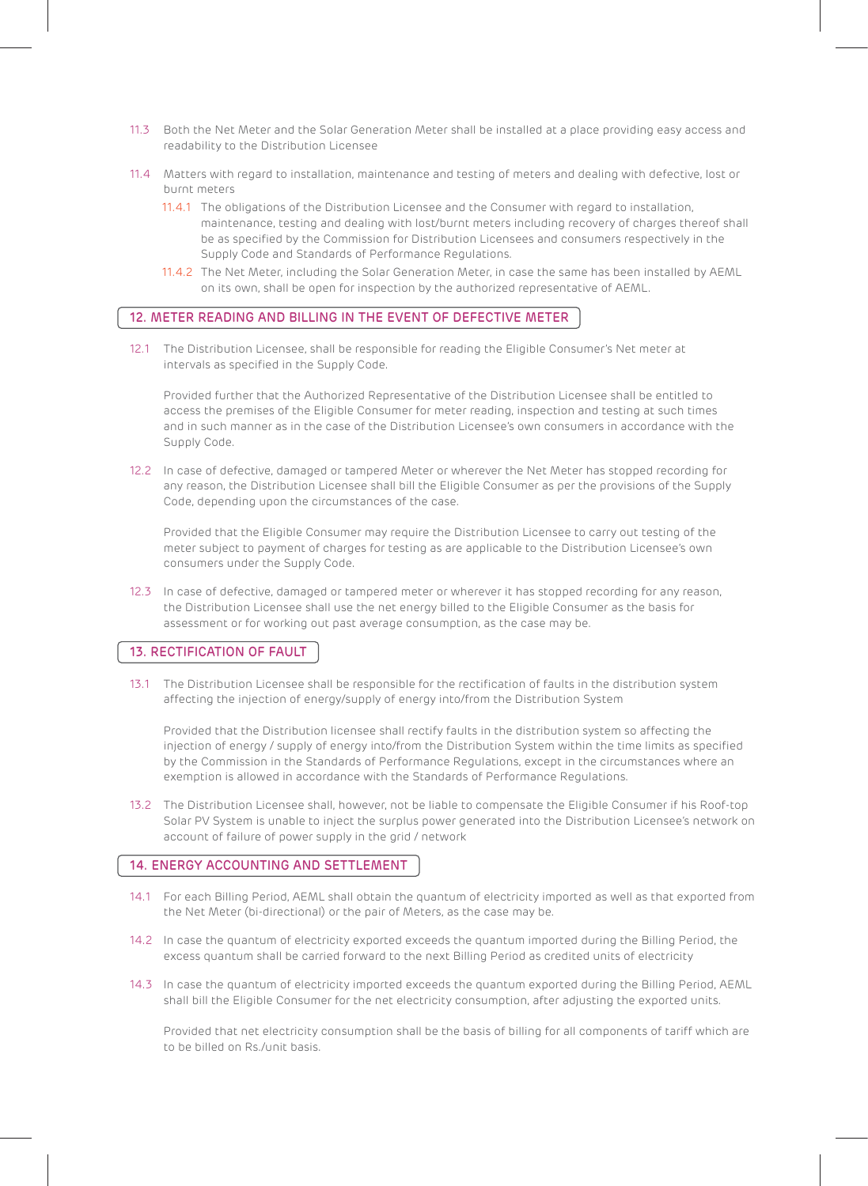- 11.3 Both the Net Meter and the Solar Generation Meter shall be installed at a place providing easy access and readability to the Distribution Licensee
- 11.4 Matters with regard to installation, maintenance and testing of meters and dealing with defective, lost or burnt meters
	- 11.4.1 The obligations of the Distribution Licensee and the Consumer with regard to installation, maintenance, testing and dealing with lost/burnt meters including recovery of charges thereof shall be as specified by the Commission for Distribution Licensees and consumers respectively in the Supply Code and Standards of Performance Regulations.
	- 11.4.2 The Net Meter, including the Solar Generation Meter, in case the same has been installed by AEML on its own, shall be open for inspection by the authorized representative of AEML.

## 12. METER READING AND BILLING IN THE EVENT OF DEFECTIVE METER

12.1 The Distribution Licensee, shall be responsible for reading the Eligible Consumer's Net meter at intervals as specified in the Supply Code.

Provided further that the Authorized Representative of the Distribution Licensee shall be entitled to access the premises of the Eligible Consumer for meter reading, inspection and testing at such times and in such manner as in the case of the Distribution Licensee's own consumers in accordance with the Supply Code.

12.2 In case of defective, damaged or tampered Meter or wherever the Net Meter has stopped recording for any reason, the Distribution Licensee shall bill the Eligible Consumer as per the provisions of the Supply Code, depending upon the circumstances of the case.

Provided that the Eligible Consumer may require the Distribution Licensee to carry out testing of the meter subject to payment of charges for testing as are applicable to the Distribution Licensee's own consumers under the Supply Code.

12.3 In case of defective, damaged or tampered meter or wherever it has stopped recording for any reason, the Distribution Licensee shall use the net energy billed to the Eligible Consumer as the basis for assessment or for working out past average consumption, as the case may be.

## 13. RECTIFICATION OF FAULT

13.1 The Distribution Licensee shall be responsible for the rectification of faults in the distribution system affecting the injection of energy/supply of energy into/from the Distribution System

Provided that the Distribution licensee shall rectify faults in the distribution system so affecting the injection of energy / supply of energy into/from the Distribution System within the time limits as specified by the Commission in the Standards of Performance Regulations, except in the circumstances where an exemption is allowed in accordance with the Standards of Performance Regulations.

13.2 The Distribution Licensee shall, however, not be liable to compensate the Eligible Consumer if his Roof-top Solar PV System is unable to inject the surplus power generated into the Distribution Licensee's network on account of failure of power supply in the grid / network

## 14. ENERGY ACCOUNTING AND SETTLEMENT

- 14.1 For each Billing Period, AEML shall obtain the quantum of electricity imported as well as that exported from the Net Meter (bi-directional) or the pair of Meters, as the case may be.
- 14.2 In case the quantum of electricity exported exceeds the quantum imported during the Billing Period, the excess quantum shall be carried forward to the next Billing Period as credited units of electricity
- 14.3 In case the quantum of electricity imported exceeds the quantum exported during the Billing Period, AEML shall bill the Eligible Consumer for the net electricity consumption, after adjusting the exported units.

Provided that net electricity consumption shall be the basis of billing for all components of tariff which are to be billed on Rs./unit basis.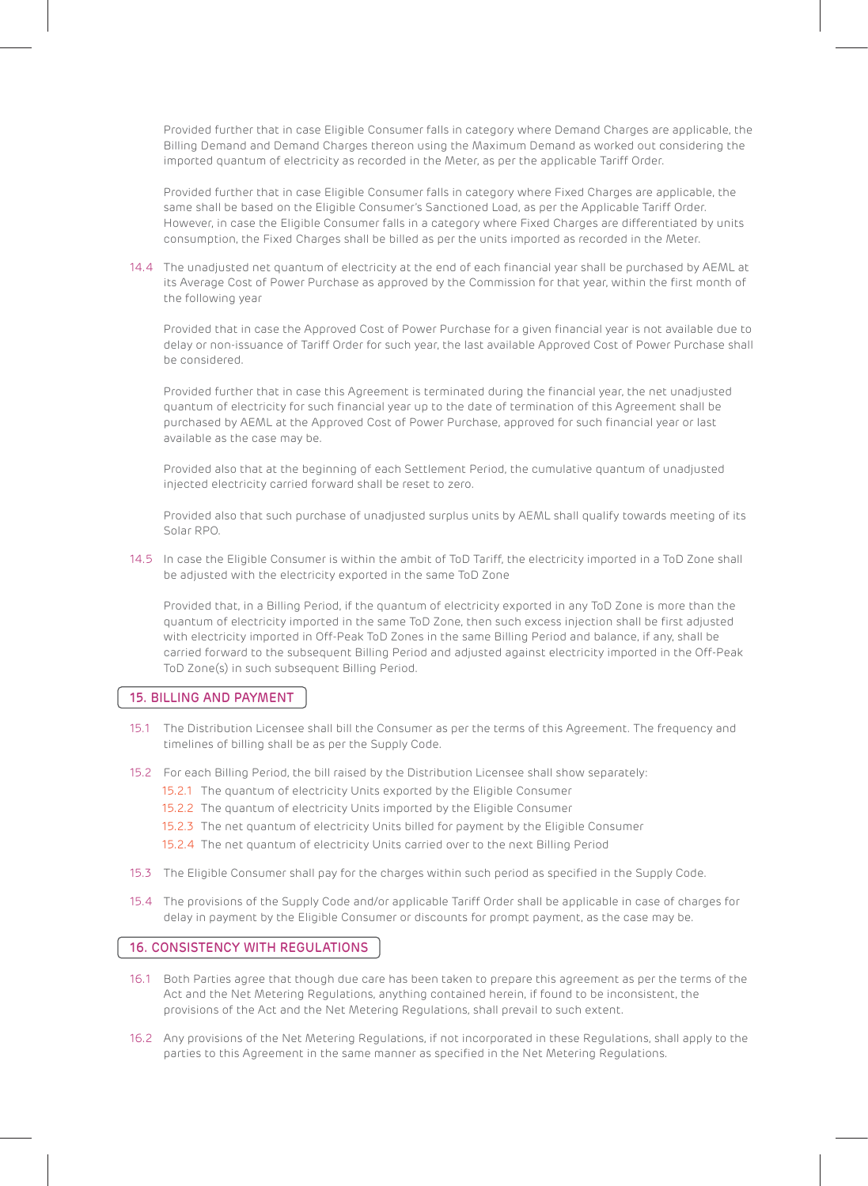Provided further that in case Eligible Consumer falls in category where Demand Charges are applicable, the Billing Demand and Demand Charges thereon using the Maximum Demand as worked out considering the imported quantum of electricity as recorded in the Meter, as per the applicable Tariff Order.

Provided further that in case Eligible Consumer falls in category where Fixed Charges are applicable, the same shall be based on the Eligible Consumer's Sanctioned Load, as per the Applicable Tariff Order. However, in case the Eligible Consumer falls in a category where Fixed Charges are differentiated by units consumption, the Fixed Charges shall be billed as per the units imported as recorded in the Meter.

14.4 The unadjusted net quantum of electricity at the end of each financial year shall be purchased by AEML at its Average Cost of Power Purchase as approved by the Commission for that year, within the first month of the following year

Provided that in case the Approved Cost of Power Purchase for a given financial year is not available due to delay or non-issuance of Tariff Order for such year, the last available Approved Cost of Power Purchase shall be considered.

Provided further that in case this Agreement is terminated during the financial year, the net unadjusted quantum of electricity for such financial year up to the date of termination of this Agreement shall be purchased by AEML at the Approved Cost of Power Purchase, approved for such financial year or last available as the case may be.

Provided also that at the beginning of each Settlement Period, the cumulative quantum of unadjusted injected electricity carried forward shall be reset to zero.

Provided also that such purchase of unadjusted surplus units by AEML shall qualify towards meeting of its Solar RPO.

14.5 In case the Eligible Consumer is within the ambit of ToD Tariff, the electricity imported in a ToD Zone shall be adjusted with the electricity exported in the same ToD Zone

Provided that, in a Billing Period, if the quantum of electricity exported in any ToD Zone is more than the quantum of electricity imported in the same ToD Zone, then such excess injection shall be first adjusted with electricity imported in Off-Peak ToD Zones in the same Billing Period and balance, if any, shall be carried forward to the subsequent Billing Period and adjusted against electricity imported in the Off-Peak ToD Zone(s) in such subsequent Billing Period.

#### 15. BILLING AND PAYMENT

- 15.1 The Distribution Licensee shall bill the Consumer as per the terms of this Agreement. The frequency and timelines of billing shall be as per the Supply Code.
- 15.2 For each Billing Period, the bill raised by the Distribution Licensee shall show separately:
	- 15.2.1 The quantum of electricity Units exported by the Eligible Consumer
	- 15.2.2 The quantum of electricity Units imported by the Eligible Consumer
	- 15.2.3 The net quantum of electricity Units billed for payment by the Eligible Consumer
	- 15.2.4 The net quantum of electricity Units carried over to the next Billing Period
- 15.3 The Eligible Consumer shall pay for the charges within such period as specified in the Supply Code.
- 15.4 The provisions of the Supply Code and/or applicable Tariff Order shall be applicable in case of charges for delay in payment by the Eligible Consumer or discounts for prompt payment, as the case may be.

#### 16. CONSISTENCY WITH REGULATIONS

- 16.1 Both Parties agree that though due care has been taken to prepare this agreement as per the terms of the Act and the Net Metering Regulations, anything contained herein, if found to be inconsistent, the provisions of the Act and the Net Metering Regulations, shall prevail to such extent.
- 16.2 Any provisions of the Net Metering Regulations, if not incorporated in these Regulations, shall apply to the parties to this Agreement in the same manner as specified in the Net Metering Regulations.